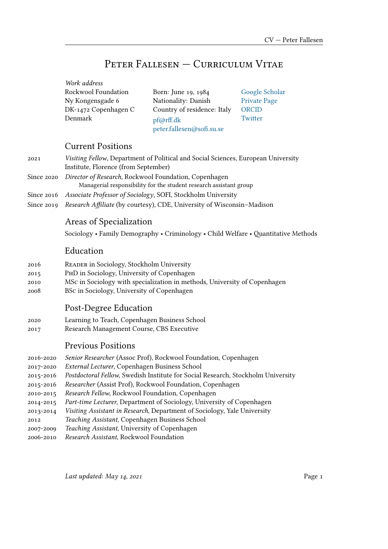## PeteR Fallesen — CuRRiculum Vitae

| Work address         |                             |                     |
|----------------------|-----------------------------|---------------------|
| Rockwool Foundation  | Born: June 19, 1984         | Google Scholar      |
| Ny Kongensgade 6     | Nationality: Danish         | <b>Private Page</b> |
| DK-1472 Copenhagen C | Country of residence: Italy | ORCID               |
| Denmark              | pf@rff.dk                   | Twitter             |
|                      | peter.fallesen@sofi.su.se   |                     |

## Current Positions

| 2021         | Visiting Fellow, Department of Political and Social Sciences, European University |
|--------------|-----------------------------------------------------------------------------------|
|              | Institute, Florence (from September)                                              |
| Since 2020   | Director of Research, Rockwool Foundation, Copenhagen                             |
|              | Managerial responsibility for the student research assistant group                |
| Since 2016   | Associate Professor of Sociology, SOFI, Stockholm University                      |
| Since $2019$ | Research Affiliate (by courtesy), CDE, University of Wisconsin-Madison            |

## Areas of Specialization

Sociology • Family Demography • Criminology • Child Welfare • Quantitative Methods

## Education

- 2016 ReadeR in Sociology, Stockholm University
- 2015 PhD in Sociology, University of Copenhagen
- 2010 MSc in Sociology with specialization in methods, University of Copenhagen
- 2008 BSc in Sociology, University of Copenhagen

## Post-Degree Education

- 2020 Learning to Teach, Copenhagen Business School
- 2017 Research Management Course, CBS Executive

## Previous Positions

| 2016-2020 | Senior Researcher (Assoc Prof), Rockwool Foundation, Copenhagen                  |
|-----------|----------------------------------------------------------------------------------|
| 2017-2020 | External Lecturer, Copenhagen Business School                                    |
| 2015-2016 | Postdoctoral Fellow, Swedish Institute for Social Research, Stockholm University |
| 2015-2016 | Researcher (Assist Prof), Rockwool Foundation, Copenhagen                        |
| 2010-2015 | Research Fellow, Rockwool Foundation, Copenhagen                                 |
| 2014-2015 | Part-time Lecturer, Department of Sociology, University of Copenhagen            |
| 2013-2014 | Visiting Assistant in Research, Department of Sociology, Yale University         |
| 2012      | Teaching Assistant, Copenhagen Business School                                   |
| 2007-2009 | Teaching Assistant, University of Copenhagen                                     |
| 2006-2010 | Research Assistant, Rockwool Foundation                                          |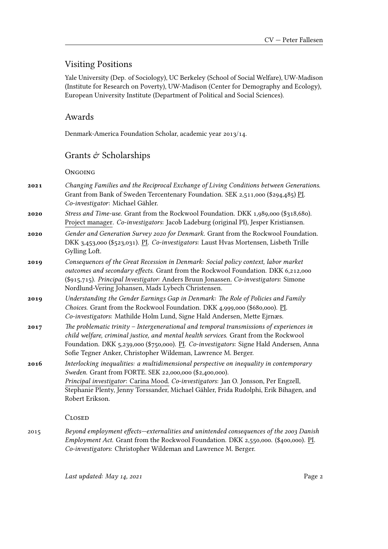## Visiting Positions

Yale University (Dep. of Sociology), UC Berkeley (School of Social Welfare), UW-Madison (Institute for Research on Poverty), UW-Madison (Center for Demography and Ecology), European University Institute (Department of Political and Social Sciences).

### Awards

Denmark-America Foundation Scholar, academic year 2013/14.

## Grants  $\acute{\mathrm{\sigma}}$  Scholarships

**ONGOING** 

- **2021** *Changing Families and the Reciprocal Exchange of Living Conditions between Generations*. Grant from Bank of Sweden Tercentenary Foundation. SEK 2,511,000 (\$294,485) PI. *Co-investigator*: Michael Gähler.
- **2020** *Stress and Time-use.* Grant from the Rockwool Foundation. DKK 1,989,000 (\$318,680). Project manager. *Co-investigators*: Jacob Ladeburg (original PI), Jesper Kristiansen.
- **2020** *Gender and Generation Survey 2020 for Denmark.* Grant from the Rockwool Foundation. DKK 3,453,000 (\$523,031). PI. *Co-investigators*: Laust Hvas Mortensen, Lisbeth Trille Gylling Loft.
- **2019** *Consequences of the Great Recession in Denmark: Social policy context, labor market outcomes and secondary effects.* Grant from the Rockwool Foundation. DKK 6,212,000 (\$915,715). *Principal Investigator:* Anders Bruun Jonassen. *Co-investigators*: Simone Nordlund-Vering Johansen, Mads Lybech Christensen.
- **2019** *Understanding the Gender Earnings Gap in Denmark: The Role of Policies and Family Choices*. Grant from the Rockwool Foundation. DKK 4,999,000 (\$680,000). PI. *Co-investigators*: Mathilde Holm Lund, Signe Hald Andersen, Mette Ejrnæs.
- **2017** *The problematic trinity Intergenerational and temporal transmissions of experiences in child welfare, criminal justice, and mental health services*. Grant from the Rockwool Foundation. DKK 5,239,000 (\$750,000). PI. *Co-investigators*: Signe Hald Andersen, Anna Sofie Tegner Anker, Christopher Wildeman, Lawrence M. Berger.
- **2016** *Interlocking inequalities: a multidimensional perspective on inequality in contemporary Sweden.* Grant from FORTE. SEK 22,000,000 (\$2,400,000). *Principal investigator*: Carina Mood. *Co-investigators*: Jan O. Jonsson, Per Engzell, Stephanie Plenty, Jenny Torssander, Michael Gähler, Frida Rudolphi, Erik Bihagen, and Robert Erikson.

### **CLOSED**

2015 *Beyond employment effects—externalities and unintended consequences of the 2003 Danish Employment Act.* Grant from the Rockwool Foundation. DKK 2,550,000. (\$400,000). PI. *Co-investigators*: Christopher Wildeman and Lawrence M. Berger.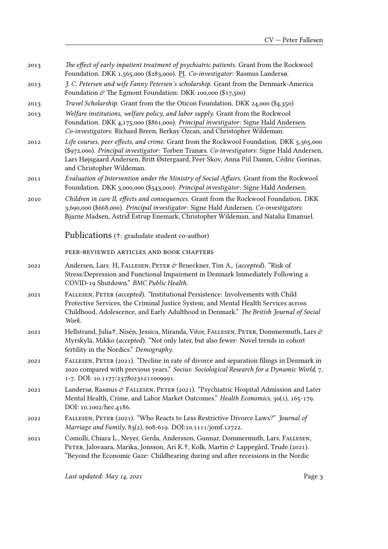- 2013 *The effect of early inpatient treatment of psychiatric patients.* Grant from the Rockwool Foundation. DKK 1,565,000 (\$283,000). PI. *Co-investigator*: Rasmus Landersø.
- 2013 *J. C. Petersen and wife Fanny Petersen's scholarship.* Grant from the Denmark-America Foundation  $\dot{\mathcal{C}}$  The Egmont Foundation: DKK 100,000 (\$17,500)
- 2013 *Travel Scholarship.* Grant from the the Oticon Foundation. DKK 24,000 (\$4,350)
- 2013 *Welfare institutions, welfare policy, and labor supply.* Grant from the Rockwool Foundation. DKK 4,175,000 (\$861,000). *Principal investigator*: Signe Hald Andersen. *Co-investigators*: Richard Breen, Berkay Ozcan, and Christopher Wildeman.
- 2012 *Life courses, peer effects, and crime.* Grant from the Rockwool Foundation. DKK 5,365,000 (\$972,000). *Principal investigator*: Torben Tranæs. *Co-investigators*: Signe Hald Andersen, Lars Højsgaard Andersen, Britt Østergaard, Peer Skov, Anna Piil Damm, Cédric Gorinas, and Christopher Wildeman.
- 2011 *Evaluation of Intervention under the Ministry of Social Affairs.* Grant from the Rockwool Foundation. DKK 3,000,000 (\$543,000). *Principal investigator*: Signe Hald Andersen.
- 2010 *Children in care II, effects and consequences.* Grant from the Rockwool Foundation. DKK 3,690,000 (\$668,000). *Principal investigator*: Signe Hald Andersen. *Co-investigators*: Bjarne Madsen, Astrid Estrup Enemark, Christopher Wildeman, and Natalia Emanuel.

Publications (†: gradudate student co-author)

peeR-Reviewed aRticles and booK chapteRs

- 2021 Andersen, Lars. H, Fallesen, PeteR & Brueckner, Tim A,. (*accepted*). "Risk of Stress/Depression and Functional Impairment in Denmark Immediately Following a COVID-19 Shutdown." *BMC Public Health*.
- 2021 Fallesen, PeteR (*accepted*). "Institutional Persistence: Involvements with Child Protective Services, the Criminal Justice System, and Mental Health Services across Childhood, Adolescence, and Early Adulthood in Denmark." *The British Journal of Social Work*.
- 2021 Hellstrand, Julia†, Nisén, Jessica, Miranda, Vitor, FALLESEN, PETER, Dommermuth, Lars & Myrskylä, Mikko (*accepted*). "Not only later, but also fewer: Novel trends in cohort fertility in the Nordics." *Demography*.
- 2021 Fallesen, PeteR (2021). "Decline in rate of divorce and separation filings in Denmark in 2020 compared with previous years." *Socius: Sociological Research for a Dynamic World*, 7, 1-7. DOI: 10.1177/23780231211009991.
- 2021 Landersø, Rasmus & Fallesen, PeteR (2021). "Psychiatric Hospital Admission and Later Mental Health, Crime, and Labor Market Outcomes." *Health Economics*, 30(1), 165-179. DOI: 10.1002/hec.4186.
- 2021 Fallesen, PeteR (2021). "Who Reacts to Less Restrictive Divorce Laws?" *Journal of Marriage and Family*, 83(2), 608-619. DOI:10.1111/jomf.12722.
- 2021 Comolli, Chiara L., Neyer, Gerda, Andersson, Gunnar, Dommermuth, Lars, Fallesen, PETER, Jalovaara, Marika, Jonsson, Ari K.†, Kolk, Martin & Lappegård, Trude (2021). "Beyond the Economic Gaze: Childbearing during and after recessions in the Nordic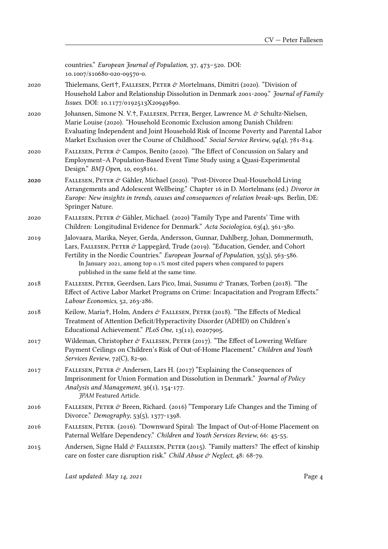countries." *European Journal of Population*, 37, 473–520. DOI: 10.1007/s10680-020-09570-0.

2020 Thielemans, Gert $\dagger$ , FALLESEN, PETER  $\mathcal{O}$  Mortelmans, Dimitri (2020). "Division of Household Labor and Relationship Dissolution in Denmark 2001-2009." *Journal of Family Issues*. DOI: 10.1177/0192513X20949890.

- 2020 Johansen, Simone N. V.†, Fallesen, PeteR, Berger, Lawrence M. & Schultz-Nielsen, Marie Louise (2020). "Household Economic Exclusion among Danish Children: Evaluating Independent and Joint Household Risk of Income Poverty and Parental Labor Market Exclusion over the Course of Childhood." *Social Service Review*, 94(4), 781-814.
- 2020 FALLESEN, PETER & Campos, Benito (2020). "The Effect of Concussion on Salary and Employment–A Population-Based Event Time Study using a Quasi-Experimental Design." *BMJ Open*, 10, e038161.
- 2020 Fallesen, PeteR & Gähler, Michael (2020). "Post-Divorce Dual-Household Living Arrangements and Adolescent Wellbeing." Chapter 16 in D. Mortelmans (ed.) *Divorce in Europe: New insights in trends, causes and consequences of relation break-ups*. Berlin, DE: Springer Nature.
- 2020 FALLESEN, PETER & Gähler, Michael. (2020) "Family Type and Parents' Time with Children: Longitudinal Evidence for Denmark." *Acta Sociologica*, 63(4), 361-380.
- 2019 Jalovaara, Marika, Neyer, Gerda, Andersson, Gunnar, Dahlberg, Johan, Dommermuth, Lars, FALLESEN, PETER  $\mathcal{O}'$  Lappegård, Trude (2019). "Education, Gender, and Cohort Fertility in the Nordic Countries." *European Journal of Population*, 35(3), 563-586. In January 2021, among top 0.1% most cited papers when compared to papers published in the same field at the same time.
- 2018 Fallesen, PeteR, Geerdsen, Lars Pico, Imai, Susumu & Tranæs, Torben (2018). "The Effect of Active Labor Market Programs on Crime: Incapacitation and Program Effects." *Labour Economics*, 52, 263-286.
- 2018 Keilow, Maria<sup>†</sup>, Holm, Anders & FALLESEN, PETER (2018). "The Effects of Medical Treatment of Attention Deficit/Hyperactivity Disorder (ADHD) on Children's Educational Achievement." *PLoS One*, 13(11), e0207905.
- 2017 Wildeman, Christopher & FALLESEN, PETER (2017). "The Effect of Lowering Welfare Payment Ceilings on Children's Risk of Out-of-Home Placement." *Children and Youth Services Review*, 72(C), 82-90.
- 2017 FALLESEN, PETER & Andersen, Lars H. (2017) "Explaining the Consequences of Imprisonment for Union Formation and Dissolution in Denmark." *Journal of Policy Analysis and Management*, 36(1), 154-177. *JPAM* Featured Article.
- 2016 FALLESEN, PETER  $\acute{\sigma}$  Breen, Richard. (2016) "Temporary Life Changes and the Timing of Divorce." *Demography*, 53(5), 1377-1398.
- 2016 Fallesen, PeteR. (2016). "Downward Spiral: The Impact of Out-of-Home Placement on Paternal Welfare Dependency." *Children and Youth Services Review*, 66: 45-55.
- 2015 Andersen, Signe Hald  $\acute{\sigma}$  FALLESEN, PETER (2015). "Family matters? The effect of kinship care on foster care disruption risk." *Child Abuse & Neglect*, 48: 68-79.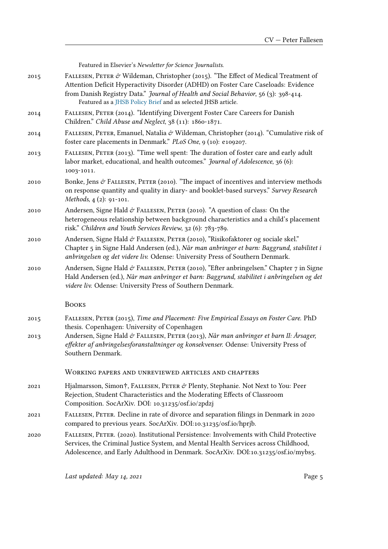|      | Featured in Elsevier's Newsletter for Science Journalists.                                                                                                                                                                                                                                                                        |
|------|-----------------------------------------------------------------------------------------------------------------------------------------------------------------------------------------------------------------------------------------------------------------------------------------------------------------------------------|
| 2015 | FALLESEN, PETER & Wildeman, Christopher (2015). "The Effect of Medical Treatment of<br>Attention Deficit Hyperactivity Disorder (ADHD) on Foster Care Caseloads: Evidence<br>from Danish Registry Data." Journal of Health and Social Behavior, 56 (3): 398-414.<br>Featured as a JHSB Policy Brief and as selected JHSB article. |
| 2014 | FALLESEN, PETER (2014). "Identifying Divergent Foster Care Careers for Danish<br>Children." Child Abuse and Neglect, 38 (11): 1860-1871.                                                                                                                                                                                          |
| 2014 | FALLESEN, PETER, Emanuel, Natalia & Wildeman, Christopher (2014). "Cumulative risk of<br>foster care placements in Denmark." PLoS One, 9 (10): e109207.                                                                                                                                                                           |
| 2013 | FALLESEN, PETER (2013). "Time well spent: The duration of foster care and early adult<br>labor market, educational, and health outcomes." Journal of Adolescence, 36 (6):<br>1003-1011.                                                                                                                                           |
| 2010 | Bonke, Jens $\mathcal{O}$ FALLESEN, PETER (2010). "The impact of incentives and interview methods<br>on response quantity and quality in diary- and booklet-based surveys." Survey Research<br>Methods, 4 (2): 91-101.                                                                                                            |
| 2010 | Andersen, Signe Hald & FALLESEN, PETER (2010). "A question of class: On the<br>heterogeneous relationship between background characteristics and a child's placement<br>risk." Children and Youth Services Review, 32 (6): 783-789.                                                                                               |
| 2010 | Andersen, Signe Hald & FALLESEN, PETER (2010), "Risikofaktorer og sociale skel."<br>Chapter 5 in Signe Hald Andersen (ed.), Når man anbringer et barn: Baggrund, stabilitet i<br>anbringelsen og det videre liv. Odense: University Press of Southern Denmark.                                                                    |
| 2010 | Andersen, Signe Hald & FALLESEN, PETER (2010), "Efter anbringelsen." Chapter 7 in Signe<br>Hald Andersen (ed.), Når man anbringer et barn: Baggrund, stabilitet i anbringelsen og det<br>videre liv. Odense: University Press of Southern Denmark.                                                                                |
|      | <b>BOOKS</b>                                                                                                                                                                                                                                                                                                                      |
| 2015 | FALLESEN, PETER (2015), Time and Placement: Five Empirical Essays on Foster Care. PhD<br>thesis. Copenhagen: University of Copenhagen                                                                                                                                                                                             |
| 2013 | Andersen, Signe Hald & FALLESEN, PETER (2013), Når man anbringer et barn II: Årsager,<br>effekter af anbringelsesforanstaltninger og konsekvenser. Odense: University Press of<br>Southern Denmark.                                                                                                                               |
|      | WORKING PAPERS AND UNREVIEWED ARTICLES AND CHAPTERS                                                                                                                                                                                                                                                                               |
| 2021 | Hjalmarsson, Simon†, FALLESEN, PETER & Plenty, Stephanie. Not Next to You: Peer<br>Rejection, Student Characteristics and the Moderating Effects of Classroom<br>Composition. SocArXiv. DOI: 10.31235/osf.io/2pdzj                                                                                                                |
| 2021 | FALLESEN, PETER. Decline in rate of divorce and separation filings in Denmark in 2020<br>compared to previous years. SocArXiv. DOI:10.31235/osf.io/hprjb.                                                                                                                                                                         |
| 2020 | FALLESEN, PETER. (2020). Institutional Persistence: Involvements with Child Protective<br>Services, the Criminal Justice System, and Mental Health Services across Childhood,<br>Adolescence, and Early Adulthood in Denmark. SocArXiv. DOI:10.31235/osf.io/mybs5.                                                                |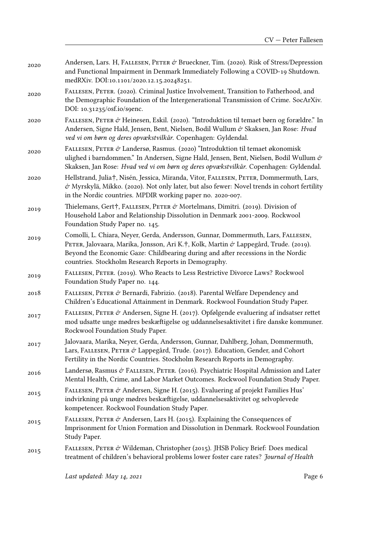| Andersen, Lars. H, FALLESEN, PETER & Brueckner, Tim. (2020). Risk of Stress/Depression |
|----------------------------------------------------------------------------------------|
| and Functional Impairment in Denmark Immediately Following a COVID-19 Shutdown.        |
| medRXiv. DOI:10.1101/2020.12.15.20248251.                                              |
|                                                                                        |

- 2020 Fallesen, PeteR. (2020). Criminal Justice Involvement, Transition to Fatherhood, and the Demographic Foundation of the Intergenerational Transmission of Crime. SocArXiv. DOI: 10.31235/osf.io/s9enc.
- 2020 Fallesen, PeteR & Heinesen, Eskil. (2020). "Introduktion til temaet børn og forældre." In Andersen, Signe Hald, Jensen, Bent, Nielsen, Bodil Wullum & Skaksen, Jan Rose: *Hvad ved vi om børn og deres opvækstvilkår*. Copenhagen: Gyldendal.
- 2020 Fallesen, PeteR & Landersø, Rasmus. (2020) "Introduktion til temaet økonomisk ulighed i barndommen." In Andersen, Signe Hald, Jensen, Bent, Nielsen, Bodil Wullum & Skaksen, Jan Rose: *Hvad ved vi om børn og deres opvækstvilkår*. Copenhagen: Gyldendal.
- 2020 Hellstrand, Julia†, Nisén, Jessica, Miranda, Vitor, Fallesen, PeteR, Dommermuth, Lars, & Myrskylä, Mikko. (2020). Not only later, but also fewer: Novel trends in cohort fertility in the Nordic countries. MPDIR working paper no. 2020-007.
- 2019 Thielemans, Gert†, FALLESEN, PETER & Mortelmans, Dimitri. (2019). Division of Household Labor and Relationship Dissolution in Denmark 2001-2009. Rockwool Foundation Study Paper no. 145.
- 2019 Comolli, L. Chiara, Neyer, Gerda, Andersson, Gunnar, Dommermuth, Lars, Fallesen, PETER, Jalovaara, Marika, Jonsson, Ari K.†, Kolk, Martin & Lappegård, Trude. (2019). Beyond the Economic Gaze: Childbearing during and after recessions in the Nordic countries. Stockholm Research Reports in Demography.
- 2019 Fallesen, PeteR. (2019). Who Reacts to Less Restrictive Divorce Laws? Rockwool Foundation Study Paper no. 144.
- 2018 Fallesen, PeteR & Bernardi, Fabrizio. (2018). Parental Welfare Dependency and Children's Educational Attainment in Denmark. Rockwool Foundation Study Paper.
- 2017 FALLESEN, PETER & Andersen, Signe H. (2017). Opfølgende evaluering af indsatser rettet mod udsatte unge mødres beskæftigelse og uddannelsesaktivitet i fire danske kommuner. Rockwool Foundation Study Paper.
- 2017 Jalovaara, Marika, Neyer, Gerda, Andersson, Gunnar, Dahlberg, Johan, Dommermuth, Lars, FALLESEN, PETER  $\dot{\sigma}$  Lappegård, Trude. (2017). Education, Gender, and Cohort Fertility in the Nordic Countries. Stockholm Research Reports in Demography.
- 2016 Landersø, Rasmus & FALLESEN, PETER. (2016). Psychiatric Hospital Admission and Later Mental Health, Crime, and Labor Market Outcomes. Rockwool Foundation Study Paper.
- 2015 Fallesen, PeteR & Andersen, Signe H. (2015). Evaluering af projekt Families Hus' indvirkning på unge mødres beskæftigelse, uddannelsesaktivitet og selvoplevede kompetencer. Rockwool Foundation Study Paper.
- 2015 FALLESEN, PETER & Andersen, Lars H. (2015). Explaining the Consequences of Imprisonment for Union Formation and Dissolution in Denmark. Rockwool Foundation Study Paper.
- 2015 FALLESEN, PETER & Wildeman, Christopher (2015). JHSB Policy Brief: Does medical treatment of children's behavioral problems lower foster care rates? *Journal of Health*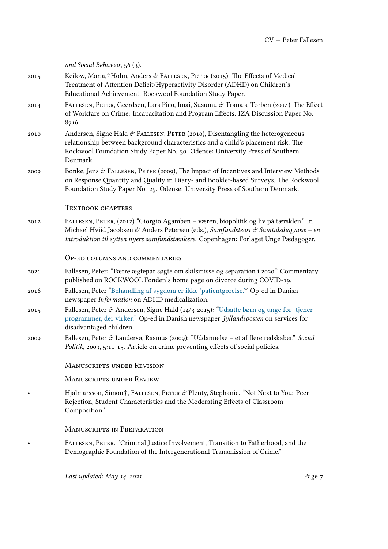|      | and Social Behavior, $56(3)$ .                                                                                                                                                                                                                                       |
|------|----------------------------------------------------------------------------------------------------------------------------------------------------------------------------------------------------------------------------------------------------------------------|
| 2015 | Keilow, Maria,†Holm, Anders & FALLESEN, PETER (2015). The Effects of Medical<br>Treatment of Attention Deficit/Hyperactivity Disorder (ADHD) on Children's<br>Educational Achievement. Rockwool Foundation Study Paper.                                              |
| 2014 | FALLESEN, PETER, Geerdsen, Lars Pico, Imai, Susumu & Tranæs, Torben (2014), The Effect<br>of Workfare on Crime: Incapacitation and Program Effects. IZA Discussion Paper No.<br>8716.                                                                                |
| 2010 | Andersen, Signe Hald & FALLESEN, PETER (2010), Disentangling the heterogeneous<br>relationship between background characteristics and a child's placement risk. The<br>Rockwool Foundation Study Paper No. 30. Odense: University Press of Southern<br>Denmark.      |
| 2009 | Bonke, Jens & FALLESEN, PETER (2009), The Impact of Incentives and Interview Methods<br>on Response Quantity and Quality in Diary- and Booklet-based Surveys. The Rockwool<br>Foundation Study Paper No. 25. Odense: University Press of Southern Denmark.           |
|      | <b>TEXTBOOK CHAPTERS</b>                                                                                                                                                                                                                                             |
| 2012 | FALLESEN, PETER, (2012) "Giorgio Agamben – væren, biopolitik og liv på tærsklen." In<br>Michael Hviid Jacobsen & Anders Petersen (eds.), Samfundsteori & Samtidsdiagnose - en<br>introduktion til sytten nyere samfundstænkere. Copenhagen: Forlaget Unge Pædagoger. |
|      | OP-ED COLUMNS AND COMMENTARIES                                                                                                                                                                                                                                       |
| 2021 | Fallesen, Peter: "Færre ægtepar søgte om skilsmisse og separation i 2020." Commentary<br>published on ROCKWOOL Fonden's home page on divorce during COVID-19.                                                                                                        |
| 2016 | Fallesen, Peter "Behandling af sygdom er ikke 'patientgørelse." Op-ed in Danish<br>newspaper Information on ADHD medicalization.                                                                                                                                     |
| 2015 | Fallesen, Peter & Andersen, Signe Hald (14/3-2015): "Udsatte børn og unge for-tjener<br>programmer, der virker." Op-ed in Danish newspaper Jyllandsposten on services for<br>disadvantaged children.                                                                 |
| 2009 | Fallesen, Peter & Landersø, Rasmus (2009): "Uddannelse – et af flere redskaber." Social<br>Politik, 2009, 5:11-15. Article on crime preventing effects of social policies.                                                                                           |
|      | <b>MANUSCRIPTS UNDER REVISION</b>                                                                                                                                                                                                                                    |
|      | <b>MANUSCRIPTS UNDER REVIEW</b>                                                                                                                                                                                                                                      |
|      | Hjalmarsson, Simon†, FALLESEN, PETER & Plenty, Stephanie. "Not Next to You: Peer<br>Rejection, Student Characteristics and the Moderating Effects of Classroom<br>Composition"                                                                                       |
|      | <b>MANUSCRIPTS IN PREPARATION</b>                                                                                                                                                                                                                                    |
|      | FALLESEN, PETER. "Criminal Justice Involvement, Transition to Fatherhood, and the<br>Demographic Foundation of the Intergenerational Transmission of Crime."                                                                                                         |
|      |                                                                                                                                                                                                                                                                      |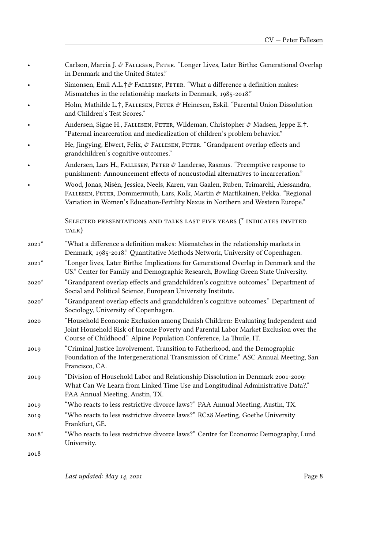|         | in Denmark and the United States."                                                                                                                                                                                                                         |
|---------|------------------------------------------------------------------------------------------------------------------------------------------------------------------------------------------------------------------------------------------------------------|
|         | Simonsen, Emil A.L.†& FALLESEN, PETER. "What a difference a definition makes:<br>Mismatches in the relationship markets in Denmark, 1985-2018."                                                                                                            |
|         | Holm, Mathilde L.†, FALLESEN, PETER & Heinesen, Eskil. "Parental Union Dissolution<br>and Children's Test Scores."                                                                                                                                         |
|         | Andersen, Signe H., FALLESEN, PETER, Wildeman, Christopher & Madsen, Jeppe E.†.<br>"Paternal incarceration and medicalization of children's problem behavior."                                                                                             |
|         | He, Jingying, Elwert, Felix, & FALLESEN, PETER. "Grandparent overlap effects and<br>grandchildren's cognitive outcomes."                                                                                                                                   |
|         | Andersen, Lars H., FALLESEN, PETER $\dot{\sigma}$ Landersø, Rasmus. "Preemptive response to<br>punishment: Announcement effects of noncustodial alternatives to incarceration."                                                                            |
|         | Wood, Jonas, Nisén, Jessica, Neels, Karen, van Gaalen, Ruben, Trimarchi, Alessandra,<br>FALLESEN, PETER, Dommermuth, Lars, Kolk, Martin & Martikainen, Pekka. "Regional<br>Variation in Women's Education-Fertility Nexus in Northern and Western Europe." |
|         | SELECTED PRESENTATIONS AND TALKS LAST FIVE YEARS (* INDICATES INVITED<br>TALK)                                                                                                                                                                             |
| $2021*$ | "What a difference a definition makes: Mismatches in the relationship markets in<br>Denmark, 1985-2018." Quantitative Methods Network, University of Copenhagen.                                                                                           |
| $2021*$ | "Longer lives, Later Births: Implications for Generational Overlap in Denmark and the<br>US." Center for Family and Demographic Research, Bowling Green State University.                                                                                  |
| $2020*$ | "Grandparent overlap effects and grandchildren's cognitive outcomes." Department of<br>Social and Political Science, European University Institute.                                                                                                        |
| $2020*$ | "Grandparent overlap effects and grandchildren's cognitive outcomes." Department of<br>Sociology, University of Copenhagen.                                                                                                                                |
| 2020    | "Household Economic Exclusion among Danish Children: Evaluating Independent and<br>Loint Household Risk of Income Poverty and Parental Labor Market Exclusion over the                                                                                     |

Carlson, Marcia J. & FALLESEN, PETER. "Longer Lives, Later Births: Generational Overlap

Joint Household Risk of Income Poverty and Parental Labor Market Exclusion over the Course of Childhood." Alpine Population Conference, La Thuile, IT.

2019 "Criminal Justice Involvement, Transition to Fatherhood, and the Demographic Foundation of the Intergenerational Transmission of Crime." ASC Annual Meeting, San Francisco, CA.

2019 "Division of Household Labor and Relationship Dissolution in Denmark 2001-2009: What Can We Learn from Linked Time Use and Longitudinal Administrative Data?." PAA Annual Meeting, Austin, TX.

2019 "Who reacts to less restrictive divorce laws?" PAA Annual Meeting, Austin, TX.

- 2019 "Who reacts to less restrictive divorce laws?" RC28 Meeting, Goethe University Frankfurt, GE.
- 2018\* "Who reacts to less restrictive divorce laws?" Centre for Economic Demography, Lund University.

2018

Last updated: May 14, 2021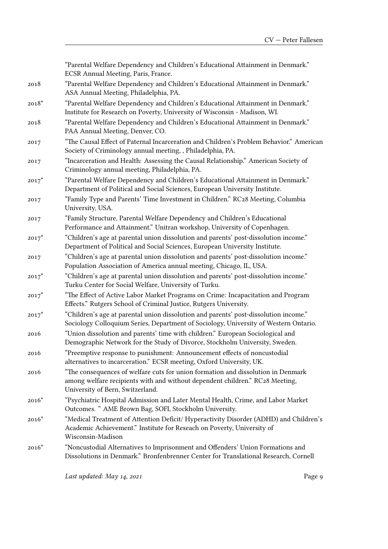"Parental Welfare Dependency and Children's Educational Attainment in Denmark." ECSR Annual Meeting, Paris, France. 2018 "Parental Welfare Dependency and Children's Educational Attainment in Denmark." ASA Annual Meeting, Philadelphia, PA. 2018\* "Parental Welfare Dependency and Children's Educational Attainment in Denmark." Institute for Research on Poverty, University of Wisconsin - Madison, WI. 2018 "Parental Welfare Dependency and Children's Educational Attainment in Denmark." PAA Annual Meeting, Denver, CO. 2017 "The Causal Effect of Paternal Incarceration and Children's Problem Behavior." American Society of Criminology annual meeting, , Philadelphia, PA. 2017 "Incarceration and Health: Assessing the Causal Relationship." American Society of Criminology annual meeting, Philadelphia, PA. 2017\* "Parental Welfare Dependency and Children's Educational Attainment in Denmark." Department of Political and Social Sciences, European University Institute. 2017 "Family Type and Parents' Time Investment in Children." RC28 Meeting, Columbia University, USA. 2017 "Family Structure, Parental Welfare Dependency and Children's Educational Performance and Attainment." Unitran workshop, University of Copenhagen. 2017\* "Children's age at parental union dissolution and parents' post-dissolution income." Department of Political and Social Sciences, European University Institute. 2017 "Children's age at parental union dissolution and parents' post-dissolution income." Population Association of America annual meeting, Chicago, IL, USA. 2017\* "Children's age at parental union dissolution and parents' post-dissolution income." Turku Center for Social Welfare, University of Turku. 2017\* "The Effect of Active Labor Market Programs on Crime: Incapacitation and Program Effects." Rutgers School of Criminal Justice, Rutgers University. 2017\* "Children's age at parental union dissolution and parents' post-dissolution income." Sociology Colloquium Series, Department of Sociology, University of Western Ontario. 2016 "Union dissolution and parents' time with children." European Sociological and Demographic Network for the Study of Divorce, Stockholm University, Sweden. 2016 "Preemptive response to punishment: Announcement effects of noncustodial alternatives to incarceration." ECSR meeting, Oxford University, UK. 2016 "The consequences of welfare cuts for union formation and dissolution in Denmark among welfare recipients with and without dependent children." RC28 Meeting, University of Bern, Switzerland. 2016\* "Psychiatric Hospital Admission and Later Mental Health, Crime, and Labor Market Outcomes. " AME Brown Bag, SOFI, Stockholm University. 2016\* "Medical Treatment of Attention Deficit/ Hyperactivity Disorder (ADHD) and Children's Academic Achievement." Institute for Reseach on Poverty, University of Wisconsin-Madison 2016\* "Noncustodial Alternatives to Imprisonment and Offenders' Union Formations and Dissolutions in Denmark." Bronfenbrenner Center for Translational Research, Cornell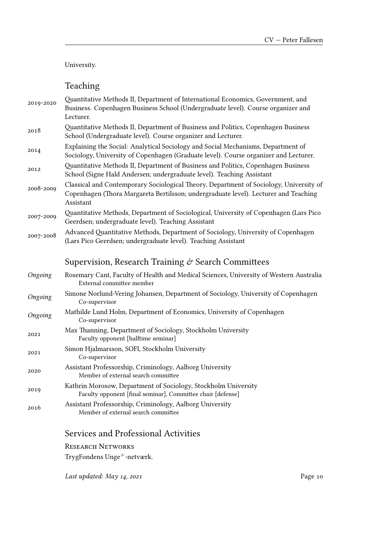### University.

# Teaching

| 2019-2020 | Quantitative Methods II, Department of International Economics, Government, and<br>Business. Copenhagen Business School (Undergraduate level). Course organizer and<br>Lecturer.           |
|-----------|--------------------------------------------------------------------------------------------------------------------------------------------------------------------------------------------|
| 2018      | Quantitative Methods II, Department of Business and Politics, Copenhagen Business<br>School (Undergraduate level). Course organizer and Lecturer.                                          |
| 2014      | Explaining the Social: Analytical Sociology and Social Mechanisms, Department of<br>Sociology, University of Copenhagen (Graduate level). Course organizer and Lecturer.                   |
| 2012      | Quantitative Methods II, Department of Business and Politics, Copenhagen Business<br>School (Signe Hald Andersen; undergraduate level). Teaching Assistant                                 |
| 2008-2009 | Classical and Contemporary Sociological Theory, Department of Sociology, University of<br>Copenhagen (Thora Margareta Bertilsson; undergraduate level). Lecturer and Teaching<br>Assistant |
| 2007-2009 | Quantitative Methods, Department of Sociological, University of Copenhagen (Lars Pico<br>Geerdsen; undergraduate level). Teaching Assistant                                                |
| 2007-2008 | Advanced Quantitative Methods, Department of Sociology, University of Copenhagen<br>(Lars Pico Geerdsen; undergraduate level). Teaching Assistant                                          |
|           | Supervision, Research Training $\mathcal O$ Search Committees                                                                                                                              |
| Ongoing   | Rosemary Cant, Faculty of Health and Medical Sciences, University of Western Australia<br>External committee member                                                                        |
| Ongoing   | Simone Norlund-Vering Johansen, Department of Sociology, University of Copenhagen<br>Co-supervisor                                                                                         |
| Ongoing   | Mathilde Lund Holm, Department of Economics, University of Copenhagen<br>Co-supervisor                                                                                                     |
| 2021      | Max Thanning, Department of Sociology, Stockholm University<br>Faculty opponent [halftime seminar]                                                                                         |
| 2021      | Simon Hjalmarsson, SOFI, Stockholm University<br>Co-supervisor                                                                                                                             |
| 2020      | Assistant Professorship, Criminology, Aalborg University<br>Member of external search committee                                                                                            |
| 2019      | Kathrin Morosow, Department of Sociology, Stockholm University<br>Faculty opponent [final seminar], Committee chair [defense]                                                              |
| 2016      | Assistant Professorship, Criminology, Aalborg University<br>Member of external search committee                                                                                            |

## Services and Professional Activities

RESEARCH NETWORKS

 $\mbox{TrygFondens Unge}^+$  -netværk.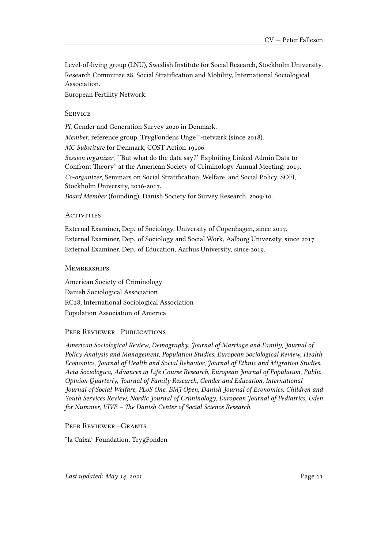Level-of-living group (LNU), Swedish Institute for Social Research, Stockholm University. Research Committee 28, Social Stratification and Mobility, International Sociological Association.

European Fertility Network.

### **SERVICE**

*PI*, Gender and Generation Survey 2020 in Denmark. *Member*, reference group, TrygFondens Unge<sup>+</sup>-netværk (since 2018). *MC Substitute* for Denmark, COST Action 19106 *Session organizer*, "'But what do the data say?' Exploiting Linked Admin Data to Confront Theory" at the American Society of Criminology Annual Meeting, 2019. *Co-organizer*, Seminars on Social Stratification, Welfare, and Social Policy, SOFI, Stockholm University, 2016-2017.

*Board Member* (founding), Danish Society for Survey Research, 2009/10.

#### **ACTIVITIES**

External Examiner, Dep. of Sociology, University of Copenhagen, since 2017. External Examiner, Dep. of Sociology and Social Work, Aalborg University, since 2017. External Examiner, Dep. of Education, Aarhus University, since 2019.

### **MEMBERSHIPS**

American Society of Criminology Danish Sociological Association RC28, International Sociological Association Population Association of America

### PEER REVIEWER-PUBLICATIONS

*American Sociological Review*, *Demography*, *Journal of Marriage and Family*, *Journal of Policy Analysis and Management*, *Population Studies*, *European Sociological Review*, *Health Economics*, *Journal of Health and Social Behavior*, *Journal of Ethnic and Migration Studies*, *Acta Sociologica*, *Advances in Life Course Research*, *European Journal of Population*, *Public Opinion Quarterly*, *Journal of Family Research*, *Gender and Education*, *International Journal of Social Welfare*, *PLoS One*, *BMJ Open*, *Danish Journal of Economics*, *Children and Youth Services Review*, *Nordic Journal of Criminology*, *European Journal of Pediatrics*, *Uden for Nummer*, *VIVE – The Danish Center of Social Science Research*.

### PeeR RevieweR—GRants

"la Caixa" Foundation, TrygFonden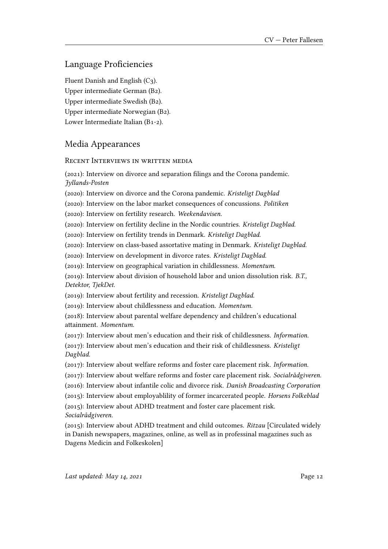## Language Proficiencies

Fluent Danish and English (C3). Upper intermediate German (B2). Upper intermediate Swedish (B2). Upper intermediate Norwegian (B2). Lower Intermediate Italian (B1-2).

## Media Appearances

RECENT INTERVIEWS IN WRITTEN MEDIA

(2021): Interview on divorce and separation filings and the Corona pandemic. *Jyllands-Posten*

(2020): Interview on divorce and the Corona pandemic. *Kristeligt Dagblad*

(2020): Interview on the labor market consequences of concussions. *Politiken*

(2020): Interview on fertility research. *Weekendavisen.*

(2020): Interview on fertility decline in the Nordic countries. *Kristeligt Dagblad.*

(2020): Interview on fertility trends in Denmark. *Kristeligt Dagblad.*

(2020): Interview on class-based assortative mating in Denmark. *Kristeligt Dagblad.*

(2020): Interview on development in divorce rates. *Kristeligt Dagblad.*

(2019): Interview on geographical variation in childlessness. *Momentum.*

(2019): Interview about division of household labor and union dissolution risk. *B.T., Detektor, TjekDet.*

(2019): Interview about fertility and recession. *Kristeligt Dagblad.*

(2019): Interview about childlessness and education. *Momentum.*

(2018): Interview about parental welfare dependency and children's educational attainment. *Momentum.*

(2017): Interview about men's education and their risk of childlessness. *Information.*

(2017): Interview about men's education and their risk of childlessness. *Kristeligt Dagblad.*

(2017): Interview about welfare reforms and foster care placement risk. *Information.*

(2017): Interview about welfare reforms and foster care placement risk. *Socialrådgiveren.*

(2016): Interview about infantile colic and divorce risk. *Danish Broadcasting Corporation*

(2015): Interview about employablility of former incarcerated people. *Horsens Folkeblad*

(2015): Interview about ADHD treatment and foster care placement risk. *Socialrådgiveren.*

(2015): Interview about ADHD treatment and child outcomes. *Ritzau* [Circulated widely in Danish newspapers, magazines, online, as well as in professinal magazines such as Dagens Medicin and Folkeskolen]